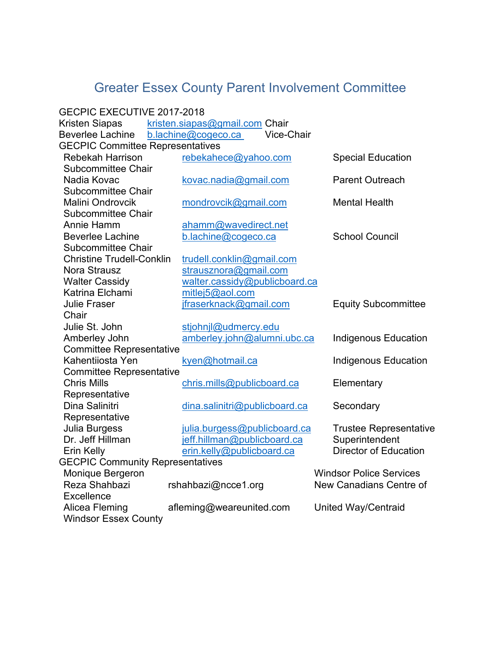## Greater Essex County Parent Involvement Committee

| GECPIC EXECUTIVE 2017-2018              |                                   |                                |
|-----------------------------------------|-----------------------------------|--------------------------------|
| Kristen Siapas                          | kristen.siapas@gmail.com Chair    |                                |
| <b>Beverlee Lachine</b>                 | Vice-Chair<br>b.lachine@cogeco.ca |                                |
| <b>GECPIC Committee Representatives</b> |                                   |                                |
| <b>Rebekah Harrison</b>                 | rebekahece@yahoo.com              | <b>Special Education</b>       |
| <b>Subcommittee Chair</b>               |                                   |                                |
| Nadia Kovac                             | kovac.nadia@gmail.com             | <b>Parent Outreach</b>         |
| <b>Subcommittee Chair</b>               |                                   |                                |
| <b>Malini Ondrovcik</b>                 | mondrovcik@gmail.com              | <b>Mental Health</b>           |
| <b>Subcommittee Chair</b>               |                                   |                                |
| Annie Hamm                              | ahamm@wavedirect.net              |                                |
| <b>Beverlee Lachine</b>                 | b.lachine@cogeco.ca               | <b>School Council</b>          |
| <b>Subcommittee Chair</b>               |                                   |                                |
| <b>Christine Trudell-Conklin</b>        | trudell.conklin@gmail.com         |                                |
| <b>Nora Strausz</b>                     | strausznora@gmail.com             |                                |
| <b>Walter Cassidy</b>                   | walter.cassidy@publicboard.ca     |                                |
| Katrina Elchami                         | mitlej5@aol.com                   |                                |
| <b>Julie Fraser</b>                     | jfraserknack@gmail.com            | <b>Equity Subcommittee</b>     |
| Chair                                   |                                   |                                |
| Julie St. John                          | stjohnjl@udmercy.edu              |                                |
| Amberley John                           | amberley.john@alumni.ubc.ca       | <b>Indigenous Education</b>    |
| <b>Committee Representative</b>         |                                   |                                |
| Kahentiiosta Yen                        | kyen@hotmail.ca                   | <b>Indigenous Education</b>    |
| <b>Committee Representative</b>         |                                   |                                |
| <b>Chris Mills</b>                      | chris.mills@publicboard.ca        | Elementary                     |
| Representative                          |                                   |                                |
| Dina Salinitri                          | dina.salinitri@publicboard.ca     | Secondary                      |
| Representative                          |                                   |                                |
| Julia Burgess                           | julia.burgess@publicboard.ca      | <b>Trustee Representative</b>  |
| Dr. Jeff Hillman                        | jeff.hillman@publicboard.ca       | Superintendent                 |
| Erin Kelly                              | erin.kelly@publicboard.ca         | <b>Director of Education</b>   |
| <b>GECPIC Community Representatives</b> |                                   |                                |
| Monique Bergeron                        |                                   | <b>Windsor Police Services</b> |
| Reza Shahbazi                           | rshahbazi@ncce1.org               | New Canadians Centre of        |
| Excellence                              |                                   |                                |
| Alicea Fleming                          | afleming@weareunited.com          | United Way/Centraid            |
| <b>Windsor Essex County</b>             |                                   |                                |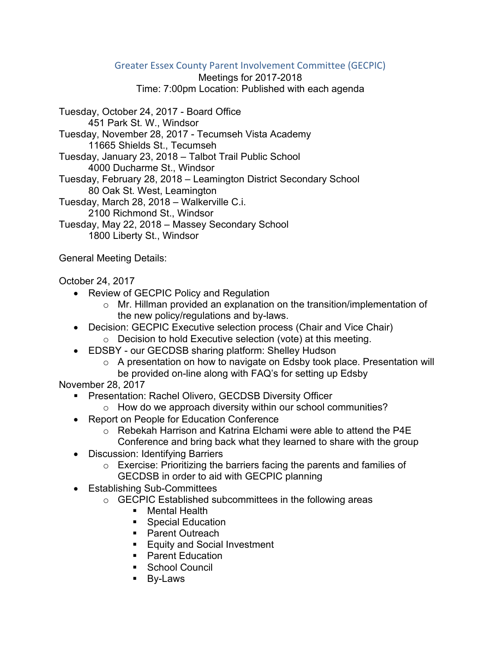## Greater Essex County Parent Involvement Committee (GECPIC)

Meetings for 2017-2018

Time: 7:00pm Location: Published with each agenda

Tuesday, October 24, 2017 - Board Office 451 Park St. W., Windsor Tuesday, November 28, 2017 - Tecumseh Vista Academy 11665 Shields St., Tecumseh Tuesday, January 23, 2018 – Talbot Trail Public School 4000 Ducharme St., Windsor Tuesday, February 28, 2018 – Leamington District Secondary School 80 Oak St. West, Leamington Tuesday, March 28, 2018 – Walkerville C.i. 2100 Richmond St., Windsor Tuesday, May 22, 2018 – Massey Secondary School

1800 Liberty St., Windsor

General Meeting Details:

October 24, 2017

- Review of GECPIC Policy and Regulation
	- o Mr. Hillman provided an explanation on the transition/implementation of the new policy/regulations and by-laws.
- Decision: GECPIC Executive selection process (Chair and Vice Chair)
	- o Decision to hold Executive selection (vote) at this meeting.
- EDSBY our GECDSB sharing platform: Shelley Hudson
	- o A presentation on how to navigate on Edsby took place. Presentation will be provided on-line along with FAQ's for setting up Edsby

November 28, 2017

- **Presentation: Rachel Olivero, GECDSB Diversity Officer** 
	- o How do we approach diversity within our school communities?
- Report on People for Education Conference
	- o Rebekah Harrison and Katrina Elchami were able to attend the P4E Conference and bring back what they learned to share with the group
- Discussion: Identifying Barriers
	- o Exercise: Prioritizing the barriers facing the parents and families of GECDSB in order to aid with GECPIC planning
- Establishing Sub-Committees
	- o GECPIC Established subcommittees in the following areas
		- Mental Health
		- Special Education
		- Parent Outreach
		- **Equity and Social Investment**
		- Parent Education
		- **School Council**
		- By-Laws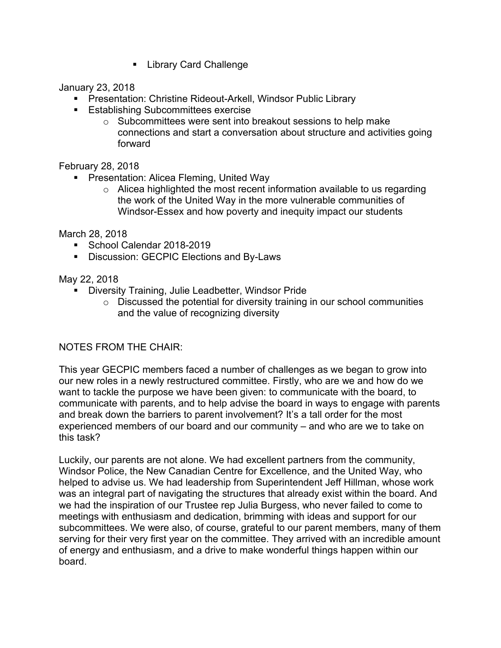**E.** Library Card Challenge

January 23, 2018

- **Presentation: Christine Rideout-Arkell, Windsor Public Library**
- **Establishing Subcommittees exercise** 
	- o Subcommittees were sent into breakout sessions to help make connections and start a conversation about structure and activities going forward

February 28, 2018

- **Presentation: Alicea Fleming, United Way** 
	- o Alicea highlighted the most recent information available to us regarding the work of the United Way in the more vulnerable communities of Windsor-Essex and how poverty and inequity impact our students

March 28, 2018

- School Calendar 2018-2019
- **Discussion: GECPIC Elections and By-Laws**

May 22, 2018

- Diversity Training, Julie Leadbetter, Windsor Pride
	- $\circ$  Discussed the potential for diversity training in our school communities and the value of recognizing diversity

## NOTES FROM THE CHAIR:

This year GECPIC members faced a number of challenges as we began to grow into our new roles in a newly restructured committee. Firstly, who are we and how do we want to tackle the purpose we have been given: to communicate with the board, to communicate with parents, and to help advise the board in ways to engage with parents and break down the barriers to parent involvement? It's a tall order for the most experienced members of our board and our community – and who are we to take on this task?

Luckily, our parents are not alone. We had excellent partners from the community, Windsor Police, the New Canadian Centre for Excellence, and the United Way, who helped to advise us. We had leadership from Superintendent Jeff Hillman, whose work was an integral part of navigating the structures that already exist within the board. And we had the inspiration of our Trustee rep Julia Burgess, who never failed to come to meetings with enthusiasm and dedication, brimming with ideas and support for our subcommittees. We were also, of course, grateful to our parent members, many of them serving for their very first year on the committee. They arrived with an incredible amount of energy and enthusiasm, and a drive to make wonderful things happen within our board.